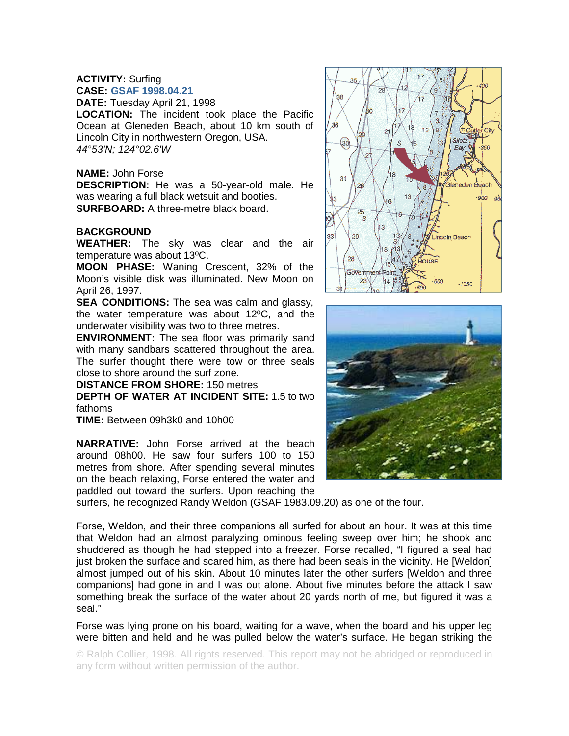## **ACTIVITY:** Surfing **CASE: GSAF 1998.04.21**

**DATE:** Tuesday April 21, 1998

**LOCATION:** The incident took place the Pacific Ocean at Gleneden Beach, about 10 km south of Lincoln City in northwestern Oregon, USA. *44°53'N; 124°02.6'W*

## **NAME:** John Forse

**DESCRIPTION:** He was a 50-year-old male. He was wearing a full black wetsuit and booties. **SURFBOARD:** A three-metre black board.

## **BACKGROUND**

**WEATHER:** The sky was clear and the air temperature was about 13ºC.

**MOON PHASE:** Waning Crescent, 32% of the Moon's visible disk was illuminated. New Moon on April 26, 1997.

**SEA CONDITIONS:** The sea was calm and glassy, the water temperature was about 12ºC, and the underwater visibility was two to three metres.

**ENVIRONMENT:** The sea floor was primarily sand with many sandbars scattered throughout the area. The surfer thought there were tow or three seals close to shore around the surf zone.

## **DISTANCE FROM SHORE:** 150 metres

**DEPTH OF WATER AT INCIDENT SITE:** 1.5 to two fathoms

**TIME:** Between 09h3k0 and 10h00

**NARRATIVE:** John Forse arrived at the beach around 08h00. He saw four surfers 100 to 150 metres from shore. After spending several minutes on the beach relaxing, Forse entered the water and paddled out toward the surfers. Upon reaching the



Forse, Weldon, and their three companions all surfed for about an hour. It was at this time that Weldon had an almost paralyzing ominous feeling sweep over him; he shook and shuddered as though he had stepped into a freezer. Forse recalled, "I figured a seal had just broken the surface and scared him, as there had been seals in the vicinity. He [Weldon] almost jumped out of his skin. About 10 minutes later the other surfers [Weldon and three companions] had gone in and I was out alone. About five minutes before the attack I saw something break the surface of the water about 20 yards north of me, but figured it was a seal."

Forse was lying prone on his board, waiting for a wave, when the board and his upper leg were bitten and held and he was pulled below the water's surface. He began striking the

© Ralph Collier, 1998. All rights reserved. This report may not be abridged or reproduced in any form without written permission of the author.



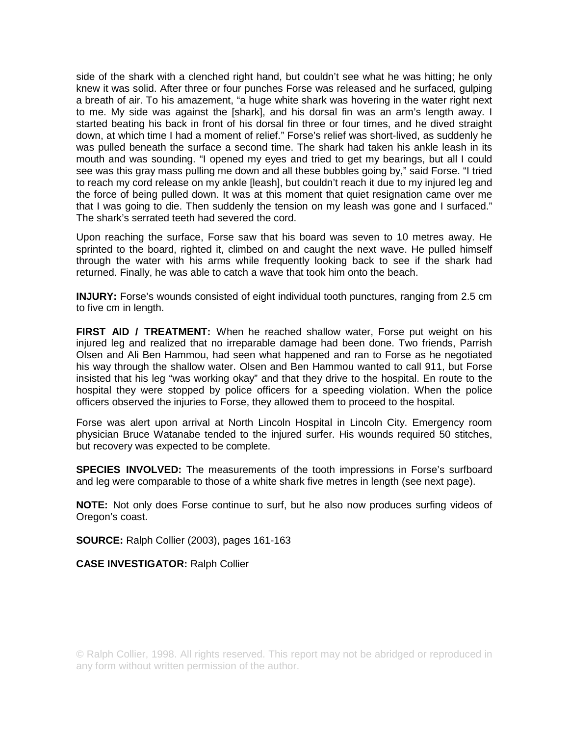side of the shark with a clenched right hand, but couldn't see what he was hitting; he only knew it was solid. After three or four punches Forse was released and he surfaced, gulping a breath of air. To his amazement, "a huge white shark was hovering in the water right next to me. My side was against the [shark], and his dorsal fin was an arm's length away. I started beating his back in front of his dorsal fin three or four times, and he dived straight down, at which time I had a moment of relief." Forse's relief was short-lived, as suddenly he was pulled beneath the surface a second time. The shark had taken his ankle leash in its mouth and was sounding. "I opened my eyes and tried to get my bearings, but all I could see was this gray mass pulling me down and all these bubbles going by," said Forse. "I tried to reach my cord release on my ankle [leash], but couldn't reach it due to my injured leg and the force of being pulled down. It was at this moment that quiet resignation came over me that I was going to die. Then suddenly the tension on my leash was gone and I surfaced." The shark's serrated teeth had severed the cord.

Upon reaching the surface, Forse saw that his board was seven to 10 metres away. He sprinted to the board, righted it, climbed on and caught the next wave. He pulled himself through the water with his arms while frequently looking back to see if the shark had returned. Finally, he was able to catch a wave that took him onto the beach.

**INJURY:** Forse's wounds consisted of eight individual tooth punctures, ranging from 2.5 cm to five cm in length.

**FIRST AID / TREATMENT:** When he reached shallow water, Forse put weight on his injured leg and realized that no irreparable damage had been done. Two friends, Parrish Olsen and Ali Ben Hammou, had seen what happened and ran to Forse as he negotiated his way through the shallow water. Olsen and Ben Hammou wanted to call 911, but Forse insisted that his leg "was working okay" and that they drive to the hospital. En route to the hospital they were stopped by police officers for a speeding violation. When the police officers observed the injuries to Forse, they allowed them to proceed to the hospital.

Forse was alert upon arrival at North Lincoln Hospital in Lincoln City. Emergency room physician Bruce Watanabe tended to the injured surfer. His wounds required 50 stitches, but recovery was expected to be complete.

**SPECIES INVOLVED:** The measurements of the tooth impressions in Forse's surfboard and leg were comparable to those of a white shark five metres in length (see next page).

**NOTE:** Not only does Forse continue to surf, but he also now produces surfing videos of Oregon's coast.

**SOURCE:** Ralph Collier (2003), pages 161-163

**CASE INVESTIGATOR:** Ralph Collier